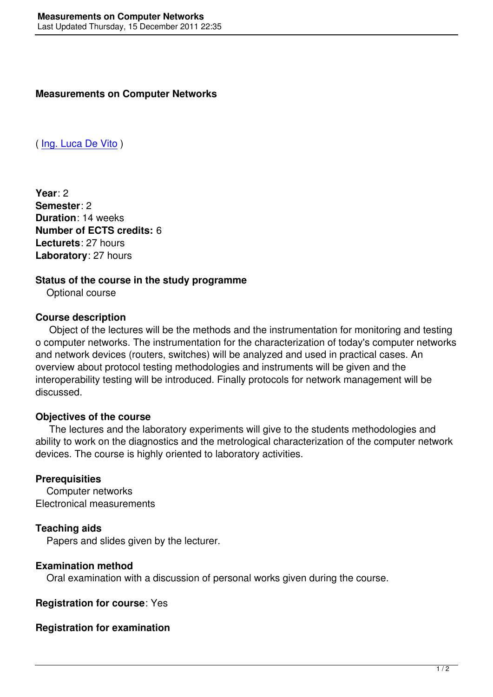( Ing. Luca De Vito )

**[Year](mailto:devito@unisannio.it)**: 2 **Semester**: 2 **Duration**: 14 weeks **Number of ECTS credits:** 6 **Lecturets**: 27 hours **Laboratory**: 27 hours

#### **Status of the course in the study programme**

Optional course

#### **Course description**

 Object of the lectures will be the methods and the instrumentation for monitoring and testing o computer networks. The instrumentation for the characterization of today's computer networks and network devices (routers, switches) will be analyzed and used in practical cases. An overview about protocol testing methodologies and instruments will be given and the interoperability testing will be introduced. Finally protocols for network management will be discussed.

## **Objectives of the course**

 The lectures and the laboratory experiments will give to the students methodologies and ability to work on the diagnostics and the metrological characterization of the computer network devices. The course is highly oriented to laboratory activities.

#### **Prerequisities**

 Computer networks Electronical measurements

## **Teaching aids**

Papers and slides given by the lecturer.

## **Examination method**

Oral examination with a discussion of personal works given during the course.

**Registration for course**: Yes

## **Registration for examination**